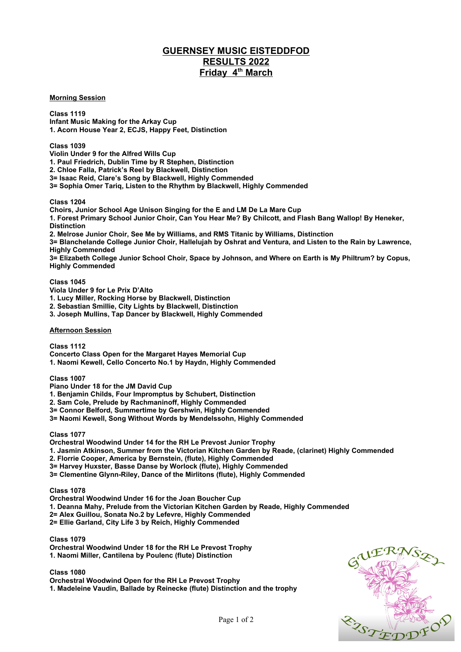## **GUERNSEY MUSIC EISTEDDFOD RESULTS 2022 Friday 4th March**

**Morning Session**

**Class 1119 Infant Music Making for the Arkay Cup 1. Acorn House Year 2, ECJS, Happy Feet, Distinction**

**Class 1039**

**Violin Under 9 for the Alfred Wills Cup**

**1. Paul Friedrich, Dublin Time by R Stephen, Distinction**

**2. Chloe Falla, Patrick's Reel by Blackwell, Distinction**

**3= Isaac Reid, Clare's Song by Blackwell, Highly Commended**

**3= Sophia Omer Tariq, Listen to the Rhythm by Blackwell, Highly Commended**

**Class 1204**

**Choirs, Junior School Age Unison Singing for the E and LM De La Mare Cup 1. Forest Primary School Junior Choir, Can You Hear Me? By Chilcott, and Flash Bang Wallop! By Heneker, Distinction 2. Melrose Junior Choir, See Me by Williams, and RMS Titanic by Williams, Distinction 3= Blanchelande College Junior Choir, Hallelujah by Oshrat and Ventura, and Listen to the Rain by Lawrence, Highly Commended 3= Elizabeth College Junior School Choir, Space by Johnson, and Where on Earth is My Philtrum? by Copus, Highly Commended Class 1045 Viola Under 9 for Le Prix D'Alto 1. Lucy Miller, Rocking Horse by Blackwell, Distinction 2. Sebastian Smillie, City Lights by Blackwell, Distinction 3. Joseph Mullins, Tap Dancer by Blackwell, Highly Commended Afternoon Session**

**Class 1112 Concerto Class Open for the Margaret Hayes Memorial Cup**

**1. Naomi Kewell, Cello Concerto No.1 by Haydn, Highly Commended**

**Class 1007**

**Piano Under 18 for the JM David Cup**

**1. Benjamin Childs, Four Impromptus by Schubert, Distinction**

**2. Sam Cole, Prelude by Rachmaninoff, Highly Commended**

**3= Connor Belford, Summertime by Gershwin, Highly Commended**

**3= Naomi Kewell, Song Without Words by Mendelssohn, Highly Commended**

**Class 1077**

**Orchestral Woodwind Under 14 for the RH Le Prevost Junior Trophy**

**1. Jasmin Atkinson, Summer from the Victorian Kitchen Garden by Reade, (clarinet) Highly Commended**

**2. Florrie Cooper, America by Bernstein, (flute), Highly Commended**

**3= Harvey Huxster, Basse Danse by Worlock (flute), Highly Commended**

**3= Clementine Glynn-Riley, Dance of the Mirlitons (flute), Highly Commended**

**Class 1078**

**Orchestral Woodwind Under 16 for the Joan Boucher Cup**

**1. Deanna Mahy, Prelude from the Victorian Kitchen Garden by Reade, Highly Commended**

**2= Alex Guillou, Sonata No.2 by Lefevre, Highly Commended**

**2= Ellie Garland, City Life 3 by Reich, Highly Commended**

**Class 1079**

**Orchestral Woodwind Under 18 for the RH Le Prevost Trophy 1. Naomi Miller, Cantilena by Poulenc (flute) Distinction**

**Class 1080**

**Orchestral Woodwind Open for the RH Le Prevost Trophy**

**1. Madeleine Vaudin, Ballade by Reinecke (flute) Distinction and the trophy**